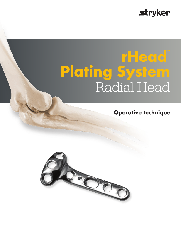## **stryker**

# **rHead™ Plating System** Radial Head

**Operative technique**

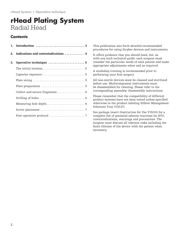## **rHead Plating System** Radial Head

#### **Contents**

| 2. | Indications and contraindications  4 |  |
|----|--------------------------------------|--|
| 3. | Operative technique  5               |  |
|    |                                      |  |
|    |                                      |  |
|    |                                      |  |
|    |                                      |  |
|    | Collect and secure fragments 6       |  |
|    |                                      |  |
|    |                                      |  |
|    |                                      |  |
|    |                                      |  |

This publication sets forth detailed recommended procedures for using Stryker devices and instruments.

It offers guidance that you should heed, but, as with any such technical guide, each surgeon must consider the particular needs of each patient and make appropriate adjustments when and as required.

A workshop training is recommended prior to performing your first surgery.

All non-sterile devices must be cleaned and sterilized before use. Multicomponent instruments must be disassembled for cleaning. Please refer to the corresponding assembly/ disassembly instructions.

Please remember that the compatibility of different product systems have not been tested unless specified otherwise in the product labeling (Elbow Management Solutions Tray V15137).

See package insert (Instruction for Use V15131) for a complete list of potential adverse reactions (in IFU), contraindications, warnings and precautions. The surgeon must discuss all relevant risks including the finite lifetime of the device with the patient when necessary.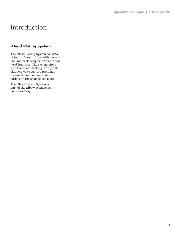## Introduction

#### **rHead Plating System**

The rHead Plating System consists of four different plates with various rim and neck designs to treat radial head fractures. The system offers traditional non-locking, low profile side screws to capture proximal fragments and locking screw options in the shaft of the plate.

The rHead Plating System is part of the Elbow Management Solutions Tray.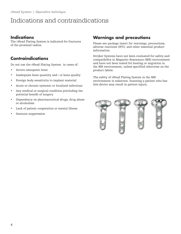## Indications and contraindications

### **Indications**

The rHead Plating System is indicated for fractures of the proximal radius.

#### **Contraindications**

Do not use the rHead Plating System in cases of:

- Severe osteopenic bone
- Inadequate bone quantity and / or bone quality
- Foreign body sensitivity to implant material
- Acute or chronic systemic or localized infections
- Any medical or surgical condition precluding the potential benefit of surgery
- Dependency on pharmaceutical drugs, drug abuse or alcoholism
- Lack of patient cooperation or mental illness
- Immuno-suppression

### **Warnings and precautions**

Please see package insert for warnings, precautions, adverse reactions (IFU), and other essential product information.

Stryker Systems have not been evaluated for safety and compatibility in Magnetic Resonance (MR) environment and have not been tested for heating or migration in the MR environment, unless specified otherwise on the product labels.

The safety of rHead Plating System in the MR environment is unknown. Scanning a patient who has this device may result in patient injury.

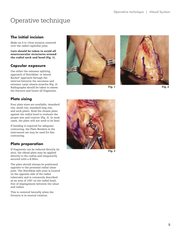## Operative technique

#### **The initial incision**

Make an 8 to 10cm incision centered over the radial capitellar joint.

Care should be taken to avoid all neurovascular structures around the radial neck and head (Fig. 1).

#### **Capsular exposure**

Use either the extensor splitting approach of Hotchkiss' or lateral Kocher 2 approach through the interval between the anconeus and extensor carpi ulnaris muscles (Fig. 2). Radiographs should be taken to assess the fracture and locate all fragments.

#### **Plate sizing**

Four plate sizes are available, (standard rim, small rim, standard long rim, and neck plate). Hold the chosen plate against the radial head to evaluate the proper size and contour (Fig. 3). In most cases, the plate will not need to be bent.

If bending is required for adequate contouring, the Plate Benders in the instrument set may be used for fine contouring.

#### **Plate preparation**

If fragments can be reduced directly (in situ), the rHead plate may be applied directly to the radius and temporarily secured with a K-Wire.

The plate should always be positioned opposite to the proximal radial ulnar joint. The Hotchkiss safe zone is located on the opposite side of the radial tuberosity and is commonly described as an area of 105º on the radial head, free of impingement between the ulnar and radius.

This is centered laterally when the forearm is in neutral rotation.





Fig. 1



Fig. 3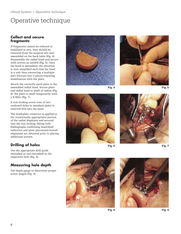## Operative technique

#### **Collect and secure fragments**

If fragments cannot be reduced or stabilized in situ, they should be removed from the surgical site and assembled on the back table (Fig. 4). Reassemble the radial head and secure with screws as needed (Fig. 5). Once the head is assembled, the situation is now simplified such that the head is a unit thus converting a multiplepart fracture into 2 pieces requiring stabilization with the plate.

Attach the correctly sized plate to the assembled radial head. Secure plate and radial head to shaft of radius (Fig. 6). Fix plate to shaft temporarily with a K-Wire (Fig. 7).

A non-locking screw (one of two outboard holes in standard plate) is inserted first into the head.

The head/plate construct is applied to the (rotationally appropriate) portion of the radial diaphysis and secured into the non-locking oblong hole. Radiographs confirming head/shaft reduction and plate placement/overall alignment are obtained prior to placing additional screws.

### **Drilling of holes**

Use the appropriate drill guide (threaded or non-threaded) in the respective hole (Fig. 8).

#### **Measuring hole depth**

Use depth gauge to determine proper screw length (Fig. 9).





Fig. 4





Fig. 6







Fig. 8

Fig. 9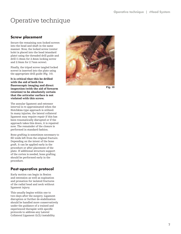## Operative technique

#### **Screw placement**

Secure the remaining non-locked screws into the head and shaft in the same manner. Now, the locked screw (center hole) is placed into the head (standard plate) using the threaded drill guide and drill (1.8mm for 2.4mm locking screw and 2.0mm for 2.7mm screw).

Finally, the tripod screw (angled locked screw) is inserted into the plate using the appropriate drill guide (Fig. 10).

lt is critical that this be drilled with the aid of both live fluoroscopic imaging and direct inspection (with the aid of forearm rotation) to be absolutely certain that the articular surface is not violated with this screw.

The annular ligament and extensor interval is re-approximated when the Hotchkiss-type approach is utilized. In many injuries, the lateral collateral ligament may require repair if this has been traumatically disrupted or if the approach takes this down, it is repaired now. The remainder of the closure is performed in standard fashion.

Bone grafting is sometimes necessary to fill voids left from the original fracture. Depending on the intent of the bone graft, it can be applied early in the procedure or after placement of the plate. If additional structure support of the cortex is needed, bone grafting should be performed early in the procedure.

#### **Post-operative protocol**

Early motion can begin in flexion and extension as well as supination and pronation for isolated fractures of the radial head and neck without ligament injury.

This usually begins within one to two days after the surgery. Ligament disruption or further de-stabilization should be handled more conservatively under the guidance of a trained and experienced therapist with specific protocols to address any Lateral Collateral Ligament (LCL) instability.



Fig. 10